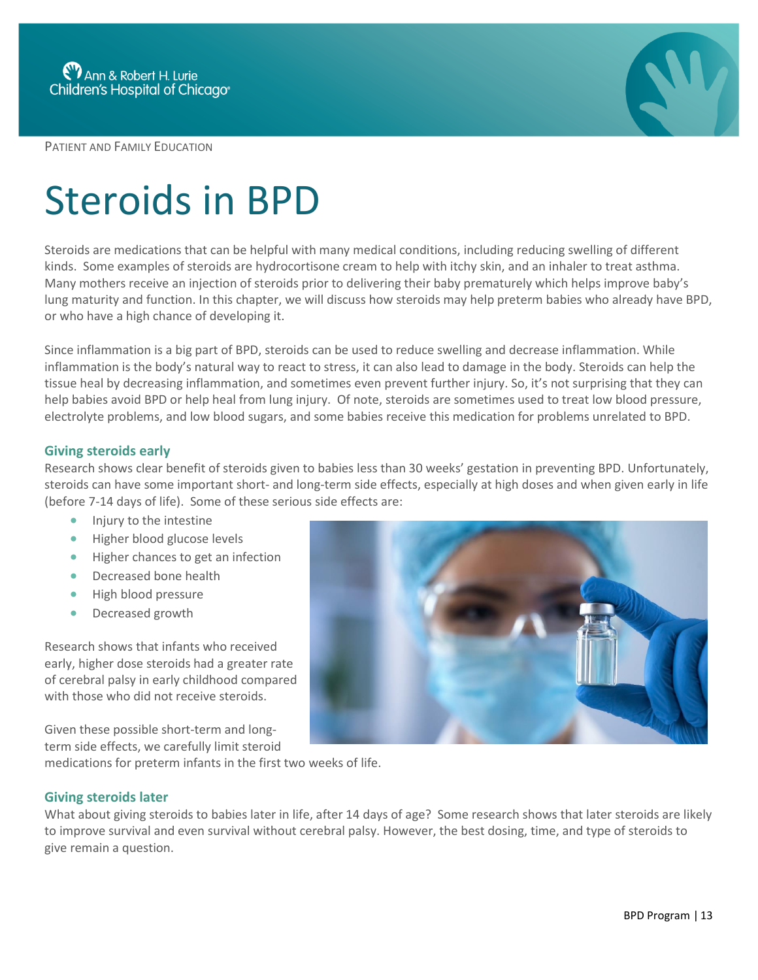PATIENT AND FAMILY EDUCATION

# Steroids in BPD

Steroids are medications that can be helpful with many medical conditions, including reducing swelling of different kinds. Some examples of steroids are hydrocortisone cream to help with itchy skin, and an inhaler to treat asthma. Many mothers receive an injection of steroids prior to delivering their baby prematurely which helps improve baby's lung maturity and function. In this chapter, we will discuss how steroids may help preterm babies who already have BPD, or who have a high chance of developing it.

Since inflammation is a big part of BPD, steroids can be used to reduce swelling and decrease inflammation. While inflammation is the body's natural way to react to stress, it can also lead to damage in the body. Steroids can help the tissue heal by decreasing inflammation, and sometimes even prevent further injury. So, it's not surprising that they can help babies avoid BPD or help heal from lung injury. Of note, steroids are sometimes used to treat low blood pressure, electrolyte problems, and low blood sugars, and some babies receive this medication for problems unrelated to BPD.

# **Giving steroids early**

Research shows clear benefit of steroids given to babies less than 30 weeks' gestation in preventing BPD. Unfortunately, steroids can have some important short- and long-term side effects, especially at high doses and when given early in life (before 7-14 days of life). Some of these serious side effects are:

- Injury to the intestine
- **Higher blood glucose levels**
- Higher chances to get an infection
- Decreased bone health
- High blood pressure
- Decreased growth

Research shows that infants who received early, higher dose steroids had a greater rate of cerebral palsy in early childhood compared with those who did not receive steroids.

Given these possible short-term and longterm side effects, we carefully limit steroid

medications for preterm infants in the first two weeks of life.

## **Giving steroids later**

What about giving steroids to babies later in life, after 14 days of age? Some research shows that later steroids are likely to improve survival and even survival without cerebral palsy. However, the best dosing, time, and type of steroids to give remain a question.